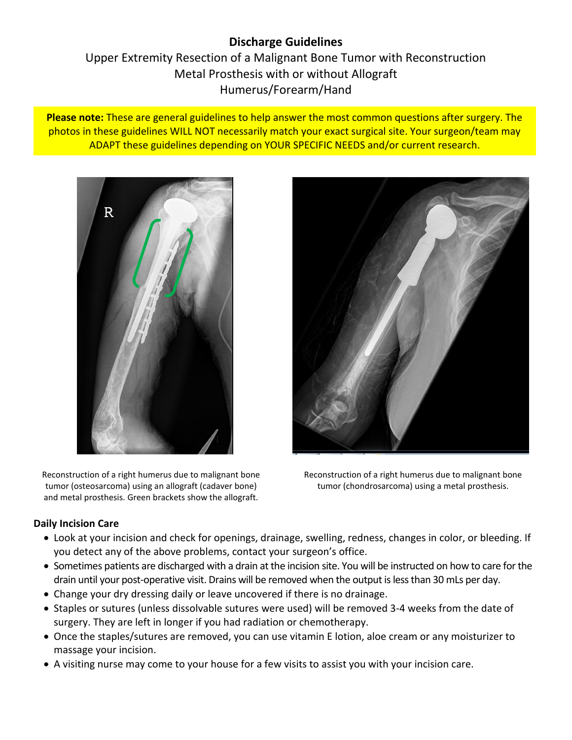# **Discharge Guidelines** Upper Extremity Resection of a Malignant Bone Tumor with Reconstruction Metal Prosthesis with or without Allograft Humerus/Forearm/Hand

**Please note:** These are general guidelines to help answer the most common questions after surgery. The photos in these guidelines WILL NOT necessarily match your exact surgical site. Your surgeon/team may ADAPT these guidelines depending on YOUR SPECIFIC NEEDS and/or current research.



Reconstruction of a right humerus due to malignant bone tumor (osteosarcoma) using an allograft (cadaver bone) and metal prosthesis. Green brackets show the allograft.



Reconstruction of a right humerus due to malignant bone tumor (chondrosarcoma) using a metal prosthesis.

# **Daily Incision Care**

- Look at your incision and check for openings, drainage, swelling, redness, changes in color, or bleeding. If you detect any of the above problems, contact your surgeon's office.
- Sometimes patients are discharged with a drain at the incision site. You will be instructed on how to care for the drain until your post-operative visit. Drains will be removed when the output is less than 30 mLs per day.
- Change your dry dressing daily or leave uncovered if there is no drainage.
- Staples or sutures (unless dissolvable sutures were used) will be removed 3-4 weeks from the date of surgery. They are left in longer if you had radiation or chemotherapy.
- Once the staples/sutures are removed, you can use vitamin E lotion, aloe cream or any moisturizer to massage your incision.
- A visiting nurse may come to your house for a few visits to assist you with your incision care.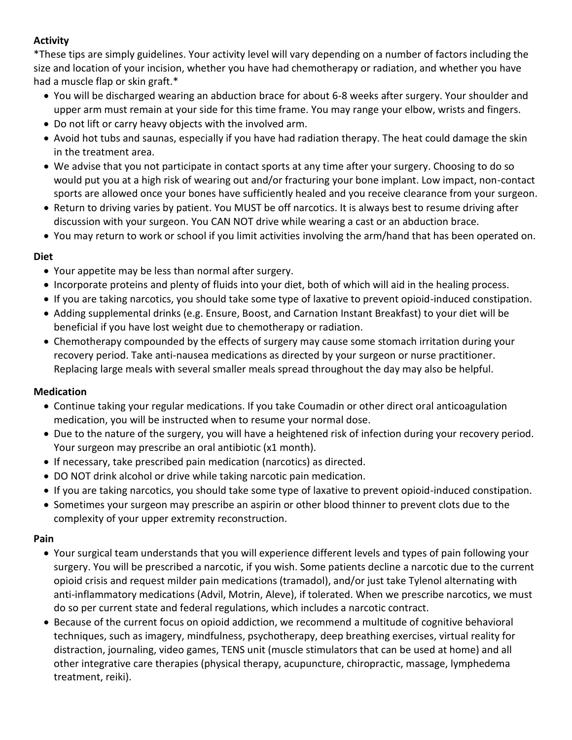# **Activity**

\*These tips are simply guidelines. Your activity level will vary depending on a number of factors including the size and location of your incision, whether you have had chemotherapy or radiation, and whether you have had a muscle flap or skin graft.\*

- You will be discharged wearing an abduction brace for about 6-8 weeks after surgery. Your shoulder and upper arm must remain at your side for this time frame. You may range your elbow, wrists and fingers.
- Do not lift or carry heavy objects with the involved arm.
- Avoid hot tubs and saunas, especially if you have had radiation therapy. The heat could damage the skin in the treatment area.
- We advise that you not participate in contact sports at any time after your surgery. Choosing to do so would put you at a high risk of wearing out and/or fracturing your bone implant. Low impact, non-contact sports are allowed once your bones have sufficiently healed and you receive clearance from your surgeon.
- Return to driving varies by patient. You MUST be off narcotics. It is always best to resume driving after discussion with your surgeon. You CAN NOT drive while wearing a cast or an abduction brace.
- You may return to work or school if you limit activities involving the arm/hand that has been operated on.

#### **Diet**

- Your appetite may be less than normal after surgery.
- Incorporate proteins and plenty of fluids into your diet, both of which will aid in the healing process.
- If you are taking narcotics, you should take some type of laxative to prevent opioid-induced constipation.
- Adding supplemental drinks (e.g. Ensure, Boost, and Carnation Instant Breakfast) to your diet will be beneficial if you have lost weight due to chemotherapy or radiation.
- Chemotherapy compounded by the effects of surgery may cause some stomach irritation during your recovery period. Take anti-nausea medications as directed by your surgeon or nurse practitioner. Replacing large meals with several smaller meals spread throughout the day may also be helpful.

#### **Medication**

- Continue taking your regular medications. If you take Coumadin or other direct oral anticoagulation medication, you will be instructed when to resume your normal dose.
- Due to the nature of the surgery, you will have a heightened risk of infection during your recovery period. Your surgeon may prescribe an oral antibiotic (x1 month).
- If necessary, take prescribed pain medication (narcotics) as directed.
- DO NOT drink alcohol or drive while taking narcotic pain medication.
- If you are taking narcotics, you should take some type of laxative to prevent opioid-induced constipation.
- Sometimes your surgeon may prescribe an aspirin or other blood thinner to prevent clots due to the complexity of your upper extremity reconstruction.

#### **Pain**

- Your surgical team understands that you will experience different levels and types of pain following your surgery. You will be prescribed a narcotic, if you wish. Some patients decline a narcotic due to the current opioid crisis and request milder pain medications (tramadol), and/or just take Tylenol alternating with anti-inflammatory medications (Advil, Motrin, Aleve), if tolerated. When we prescribe narcotics, we must do so per current state and federal regulations, which includes a narcotic contract.
- Because of the current focus on opioid addiction, we recommend a multitude of cognitive behavioral techniques, such as imagery, mindfulness, psychotherapy, deep breathing exercises, virtual reality for distraction, journaling, video games, TENS unit (muscle stimulators that can be used at home) and all other integrative care therapies (physical therapy, acupuncture, chiropractic, massage, lymphedema treatment, reiki).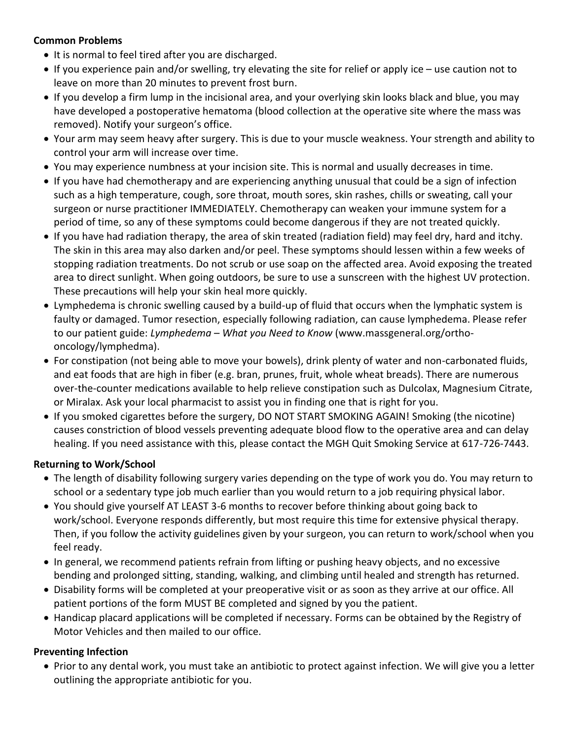## **Common Problems**

- It is normal to feel tired after you are discharged.
- If you experience pain and/or swelling, try elevating the site for relief or apply ice use caution not to leave on more than 20 minutes to prevent frost burn.
- If you develop a firm lump in the incisional area, and your overlying skin looks black and blue, you may have developed a postoperative hematoma (blood collection at the operative site where the mass was removed). Notify your surgeon's office.
- Your arm may seem heavy after surgery. This is due to your muscle weakness. Your strength and ability to control your arm will increase over time.
- You may experience numbness at your incision site. This is normal and usually decreases in time.
- If you have had chemotherapy and are experiencing anything unusual that could be a sign of infection such as a high temperature, cough, sore throat, mouth sores, skin rashes, chills or sweating, call your surgeon or nurse practitioner IMMEDIATELY. Chemotherapy can weaken your immune system for a period of time, so any of these symptoms could become dangerous if they are not treated quickly.
- If you have had radiation therapy, the area of skin treated (radiation field) may feel dry, hard and itchy. The skin in this area may also darken and/or peel. These symptoms should lessen within a few weeks of stopping radiation treatments. Do not scrub or use soap on the affected area. Avoid exposing the treated area to direct sunlight. When going outdoors, be sure to use a sunscreen with the highest UV protection. These precautions will help your skin heal more quickly.
- Lymphedema is chronic swelling caused by a build-up of fluid that occurs when the lymphatic system is faulty or damaged. Tumor resection, especially following radiation, can cause lymphedema. Please refer to our patient guide: *Lymphedema – What you Need to Know* (www.massgeneral.org/orthooncology/lymphedma).
- For constipation (not being able to move your bowels), drink plenty of water and non-carbonated fluids, and eat foods that are high in fiber (e.g. bran, prunes, fruit, whole wheat breads). There are numerous over-the-counter medications available to help relieve constipation such as Dulcolax, Magnesium Citrate, or Miralax. Ask your local pharmacist to assist you in finding one that is right for you.
- If you smoked cigarettes before the surgery, DO NOT START SMOKING AGAIN! Smoking (the nicotine) causes constriction of blood vessels preventing adequate blood flow to the operative area and can delay healing. If you need assistance with this, please contact the MGH Quit Smoking Service at 617-726-7443.

#### **Returning to Work/School**

- The length of disability following surgery varies depending on the type of work you do. You may return to school or a sedentary type job much earlier than you would return to a job requiring physical labor.
- You should give yourself AT LEAST 3-6 months to recover before thinking about going back to work/school. Everyone responds differently, but most require this time for extensive physical therapy. Then, if you follow the activity guidelines given by your surgeon, you can return to work/school when you feel ready.
- In general, we recommend patients refrain from lifting or pushing heavy objects, and no excessive bending and prolonged sitting, standing, walking, and climbing until healed and strength has returned.
- Disability forms will be completed at your preoperative visit or as soon as they arrive at our office. All patient portions of the form MUST BE completed and signed by you the patient.
- Handicap placard applications will be completed if necessary. Forms can be obtained by the Registry of Motor Vehicles and then mailed to our office.

# **Preventing Infection**

 Prior to any dental work, you must take an antibiotic to protect against infection. We will give you a letter outlining the appropriate antibiotic for you.